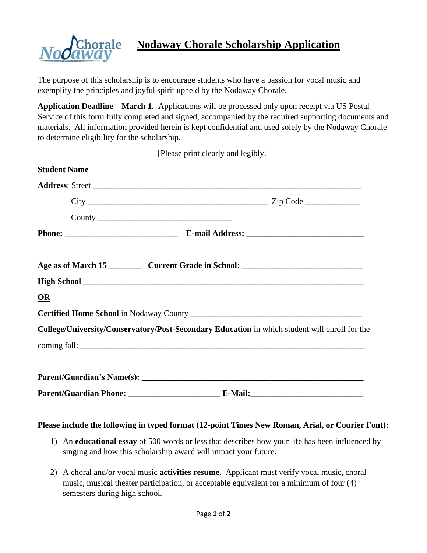

## **Nodaway Chorale Scholarship Application**

The purpose of this scholarship is to encourage students who have a passion for vocal music and exemplify the principles and joyful spirit upheld by the Nodaway Chorale.

**Application Deadline – March 1.** Applications will be processed only upon receipt via US Postal Service of this form fully completed and signed, accompanied by the required supporting documents and materials. All information provided herein is kept confidential and used solely by the Nodaway Chorale to determine eligibility for the scholarship.

[Please print clearly and legibly.]

|      | Student Name                                                                                  |
|------|-----------------------------------------------------------------------------------------------|
|      |                                                                                               |
|      |                                                                                               |
|      |                                                                                               |
|      |                                                                                               |
|      |                                                                                               |
|      |                                                                                               |
| $OR$ |                                                                                               |
|      |                                                                                               |
|      | College/University/Conservatory/Post-Secondary Education in which student will enroll for the |
|      |                                                                                               |
|      |                                                                                               |
|      |                                                                                               |
|      |                                                                                               |

## **Please include the following in typed format (12-point Times New Roman, Arial, or Courier Font):**

- 1) An **educational essay** of 500 words or less that describes how your life has been influenced by singing and how this scholarship award will impact your future.
- 2) A choral and/or vocal music **activities resume.** Applicant must verify vocal music, choral music, musical theater participation, or acceptable equivalent for a minimum of four (4) semesters during high school.